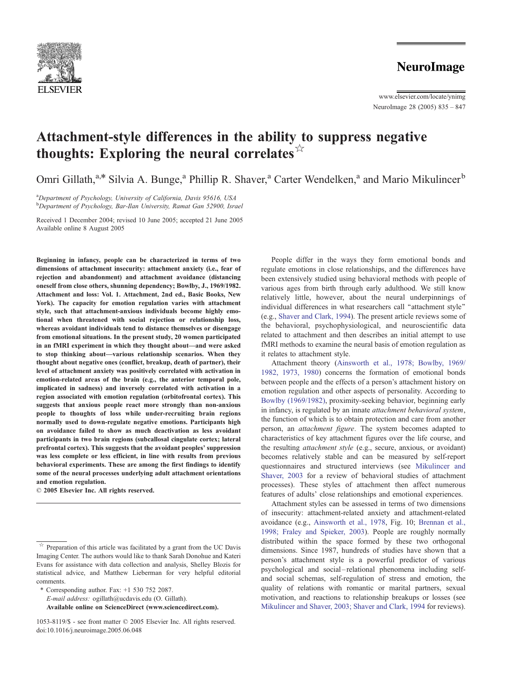

www.elsevier.com/locate/ynimg NeuroImage 28 (2005) 835 – 847

# Attachment-style differences in the ability to suppress negative thoughts: Exploring the neural correlates  $\hat{z}$

Omri Gillath,<sup>a,\*</sup> Silvia A. Bunge,<sup>a</sup> Phillip R. Shaver,<sup>a</sup> Carter Wendelken,<sup>a</sup> and Mario Mikulincer<sup>b</sup>

<sup>a</sup>Department of Psychology, University of California, Davis 95616, USA **b** Department of Psychology, Bar-Ilan University, Ramat Gan 52900, Israel

Received 1 December 2004; revised 10 June 2005; accepted 21 June 2005 Available online 8 August 2005

Beginning in infancy, people can be characterized in terms of two dimensions of attachment insecurity: attachment anxiety (i.e., fear of rejection and abandonment) and attachment avoidance (distancing oneself from close others, shunning dependency; Bowlby, J., 1969/1982. Attachment and loss: Vol. 1. Attachment, 2nd ed., Basic Books, New York). The capacity for emotion regulation varies with attachment style, such that attachment-anxious individuals become highly emotional when threatened with social rejection or relationship loss, whereas avoidant individuals tend to distance themselves or disengage from emotional situations. In the present study, 20 women participated in an fMRI experiment in which they thought about—and were asked to stop thinking about—various relationship scenarios. When they thought about negative ones (conflict, breakup, death of partner), their level of attachment anxiety was positively correlated with activation in emotion-related areas of the brain (e.g., the anterior temporal pole, implicated in sadness) and inversely correlated with activation in a region associated with emotion regulation (orbitofrontal cortex). This suggests that anxious people react more strongly than non-anxious people to thoughts of loss while under-recruiting brain regions normally used to down-regulate negative emotions. Participants high on avoidance failed to show as much deactivation as less avoidant participants in two brain regions (subcallosal cingulate cortex; lateral prefrontal cortex). This suggests that the avoidant peoples' suppression was less complete or less efficient, in line with results from previous behavioral experiments. These are among the first findings to identify some of the neural processes underlying adult attachment orientations and emotion regulation.

 $© 2005 Elsevier Inc. All rights reserved.$ 

Available online on ScienceDirect ([www.sciencedirect.com](http://www.sciencedirect.com)).

People differ in the ways they form emotional bonds and regulate emotions in close relationships, and the differences have been extensively studied using behavioral methods with people of various ages from birth through early adulthood. We still know relatively little, however, about the neural underpinnings of individual differences in what researchers call ''attachment style'' (e.g., [Shaver and Clark, 1994\)](#page-12-0). The present article reviews some of the behavioral, psychophysiological, and neuroscientific data related to attachment and then describes an initial attempt to use fMRI methods to examine the neural basis of emotion regulation as it relates to attachment style.

Attachment theory ([Ainsworth et al., 1978; Bowlby, 1969/](#page-10-0) 1982, 1973, 1980) concerns the formation of emotional bonds between people and the effects of a person's attachment history on emotion regulation and other aspects of personality. According to [Bowlby \(1969/1982\),](#page-10-0) proximity-seeking behavior, beginning early in infancy, is regulated by an innate attachment behavioral system, the function of which is to obtain protection and care from another person, an attachment figure. The system becomes adapted to characteristics of key attachment figures over the life course, and the resulting attachment style (e.g., secure, anxious, or avoidant) becomes relatively stable and can be measured by self-report questionnaires and structured interviews (see [Mikulincer and](#page-11-0) Shaver, 2003 for a review of behavioral studies of attachment processes). These styles of attachment then affect numerous features of adults' close relationships and emotional experiences.

Attachment styles can be assessed in terms of two dimensions of insecurity: attachment-related anxiety and attachment-related avoidance (e.g., [Ainsworth et al., 1978,](#page-10-0) Fig. 10; [Brennan et al.,](#page-10-0) 1998; Fraley and Spieker, 2003). People are roughly normally distributed within the space formed by these two orthogonal dimensions. Since 1987, hundreds of studies have shown that a person's attachment style is a powerful predictor of various psychological and social – relational phenomena including selfand social schemas, self-regulation of stress and emotion, the quality of relations with romantic or marital partners, sexual motivation, and reactions to relationship breakups or losses (see [Mikulincer and Shaver, 2003; Shaver and Clark, 1994](#page-11-0) for reviews).

 $\hat{z}$  Preparation of this article was facilitated by a grant from the UC Davis Imaging Center. The authors would like to thank Sarah Donohue and Kateri Evans for assistance with data collection and analysis, Shelley Blozis for statistical advice, and Matthew Lieberman for very helpful editorial comments.

<sup>\*</sup> Corresponding author. Fax: +1 530 752 2087.

E-mail address: ogillath@ucdavis.edu (O. Gillath).

<sup>1053-8119/\$ -</sup> see front matter © 2005 Elsevier Inc. All rights reserved. doi:10.1016/j.neuroimage.2005.06.048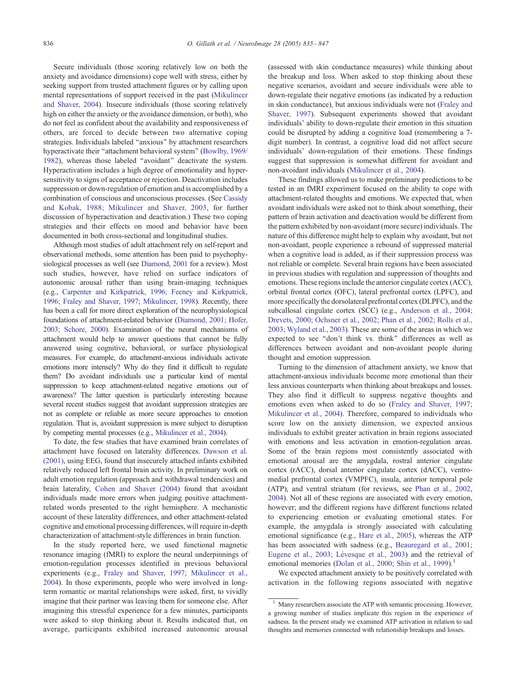Secure individuals (those scoring relatively low on both the anxiety and avoidance dimensions) cope well with stress, either by seeking support from trusted attachment figures or by calling upon mental representations of support received in the past ([Mikulincer](#page-11-0) and Shaver, 2004). Insecure individuals (those scoring relatively high on either the anxiety or the avoidance dimension, or both), who do not feel as confident about the availability and responsiveness of others, are forced to decide between two alternative coping strategies. Individuals labeled ''anxious'' by attachment researchers hyperactivate their "attachment behavioral system" ([Bowlby, 1969/](#page-10-0) 1982), whereas those labeled ''avoidant'' deactivate the system. Hyperactivation includes a high degree of emotionality and hypersensitivity to signs of acceptance or rejection. Deactivation includes suppression or down-regulation of emotion and is accomplished by a combination of conscious and unconscious processes. (See [Cassidy](#page-11-0) and Kobak, 1988; Mikulincer and Shaver, 2003, for further discussion of hyperactivation and deactivation.) These two coping strategies and their effects on mood and behavior have been documented in both cross-sectional and longitudinal studies.

Although most studies of adult attachment rely on self-report and observational methods, some attention has been paid to psychophysiological processes as well (see [Diamond, 2001](#page-11-0) for a review). Most such studies, however, have relied on surface indicators of autonomic arousal rather than using brain-imaging techniques (e.g., [Carpenter and Kirkpatrick, 1996; Feeney and Kirkpatrick,](#page-10-0) 1996; Fraley and Shaver, 1997; Mikulincer, 1998). Recently, there has been a call for more direct exploration of the neurophysiological foundations of attachment-related behavior ([Diamond, 2001; Hofer,](#page-11-0) 2003; Schore, 2000). Examination of the neural mechanisms of attachment would help to answer questions that cannot be fully answered using cognitive, behavioral, or surface physiological measures. For example, do attachment-anxious individuals activate emotions more intensely? Why do they find it difficult to regulate them? Do avoidant individuals use a particular kind of mental suppression to keep attachment-related negative emotions out of awareness? The latter question is particularly interesting because several recent studies suggest that avoidant suppression strategies are not as complete or reliable as more secure approaches to emotion regulation. That is, avoidant suppression is more subject to disruption by competing mental processes (e.g., [Mikulincer et al., 2004\)](#page-11-0).

To date, the few studies that have examined brain correlates of attachment have focused on laterality differences. [Dawson et al.](#page-11-0) (2001), using EEG, found that insecurely attached infants exhibited relatively reduced left frontal brain activity. In preliminary work on adult emotion regulation (approach and withdrawal tendencies) and brain laterality, [Cohen and Shaver \(2004\)](#page-11-0) found that avoidant individuals made more errors when judging positive attachmentrelated words presented to the right hemisphere. A mechanistic account of these laterality differences, and other attachment-related cognitive and emotional processing differences, will require in-depth characterization of attachment-style differences in brain function.

In the study reported here, we used functional magnetic resonance imaging (fMRI) to explore the neural underpinnings of emotion-regulation processes identified in previous behavioral experiments (e.g., [Fraley and Shaver, 1997; Mikulincer et al.,](#page-11-0) 2004). In those experiments, people who were involved in longterm romantic or marital relationships were asked, first, to vividly imagine that their partner was leaving them for someone else. After imagining this stressful experience for a few minutes, participants were asked to stop thinking about it. Results indicated that, on average, participants exhibited increased autonomic arousal (assessed with skin conductance measures) while thinking about the breakup and loss. When asked to stop thinking about these negative scenarios, avoidant and secure individuals were able to down-regulate their negative emotions (as indicated by a reduction in skin conductance), but anxious individuals were not ([Fraley and](#page-11-0) Shaver, 1997). Subsequent experiments showed that avoidant individuals' ability to down-regulate their emotion in this situation could be disrupted by adding a cognitive load (remembering a 7 digit number). In contrast, a cognitive load did not affect secure individuals' down-regulation of their emotions. These findings suggest that suppression is somewhat different for avoidant and non-avoidant individuals ([Mikulincer et al., 2004\)](#page-11-0).

These findings allowed us to make preliminary predictions to be tested in an fMRI experiment focused on the ability to cope with attachment-related thoughts and emotions. We expected that, when avoidant individuals were asked not to think about something, their pattern of brain activation and deactivation would be different from the pattern exhibited by non-avoidant (more secure) individuals. The nature of this difference might help to explain why avoidant, but not non-avoidant, people experience a rebound of suppressed material when a cognitive load is added, as if their suppression process was not reliable or complete. Several brain regions have been associated in previous studies with regulation and suppression of thoughts and emotions. These regions include the anterior cingulate cortex (ACC), orbital frontal cortex (OFC), lateral prefrontal cortex (LPFC), and more specifically the dorsolateral prefrontal cortex (DLPFC), and the subcallosal cingulate cortex (SCC) (e.g., [Anderson et al., 2004;](#page-10-0) Drevets, 2000; Ochsner et al., 2002; Phan et al., 2002; Rolls et al., 2003; Wyland et al., 2003). These are some of the areas in which we expected to see ''don't think vs. think'' differences as well as differences between avoidant and non-avoidant people during thought and emotion suppression.

Turning to the dimension of attachment anxiety, we know that attachment-anxious individuals become more emotional than their less anxious counterparts when thinking about breakups and losses. They also find it difficult to suppress negative thoughts and emotions even when asked to do so ([Fraley and Shaver, 1997;](#page-11-0) Mikulincer et al., 2004). Therefore, compared to individuals who score low on the anxiety dimension, we expected anxious individuals to exhibit greater activation in brain regions associated with emotions and less activation in emotion-regulation areas. Some of the brain regions most consistently associated with emotional arousal are the amygdala, rostral anterior cingulate cortex (rACC), dorsal anterior cingulate cortex (dACC), ventromedial prefrontal cortex (VMPFC), insula, anterior temporal pole (ATP), and ventral striatum (for reviews, see [Phan et al., 2002,](#page-12-0) 2004). Not all of these regions are associated with every emotion, however; and the different regions have different functions related to experiencing emotion or evaluating emotional states. For example, the amygdala is strongly associated with calculating emotional significance (e.g., [Hare et al., 2005\)](#page-11-0), whereas the ATP has been associated with sadness (e.g., [Beauregard et al., 2001;](#page-10-0) Eugene et al., 2003; Lévesque et al., 2003) and the retrieval of emotional memories ([Dolan et al., 2000; Shin et al., 1999\)](#page-11-0).<sup>1</sup>

We expected attachment anxiety to be positively correlated with activation in the following regions associated with negative

 $<sup>1</sup>$  Many researchers associate the ATP with semantic processing. However,</sup> a growing number of studies implicate this region in the experience of sadness. In the present study we examined ATP activation in relation to sad thoughts and memories connected with relationship breakups and losses.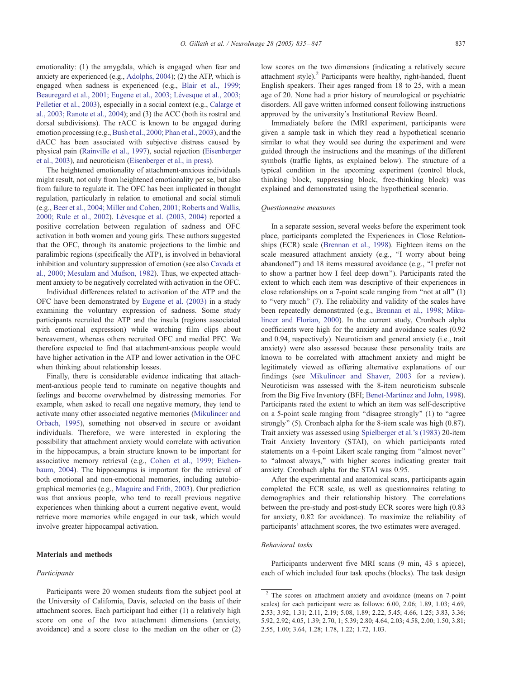emotionality: (1) the amygdala, which is engaged when fear and anxiety are experienced (e.g., [Adolphs, 2004\)](#page-10-0); (2) the ATP, which is engaged when sadness is experienced (e.g., [Blair et al., 1999;](#page-10-0) Beauregard et al., 2001; Eugene et al., 2003; Lévesque et al., 2003; Pelletier et al., 2003), especially in a social context (e.g., [Calarge et](#page-11-0) al., 2003; Ranote et al., 2004); and (3) the ACC (both its rostral and dorsal subdivisions). The rACC is known to be engaged during emotion processing (e.g., [Bush et al., 2000; Phan et al., 2003\)](#page-10-0), and the dACC has been associated with subjective distress caused by physical pain ([Rainville et al., 1997\)](#page-12-0), social rejection ([Eisenberger](#page-11-0) et al., 2003), and neuroticism ([Eisenberger et al., in press\)](#page-11-0).

The heightened emotionality of attachment-anxious individuals might result, not only from heightened emotionality per se, but also from failure to regulate it. The OFC has been implicated in thought regulation, particularly in relation to emotional and social stimuli (e.g., [Beer et al., 2004; Miller and Cohen, 2001; Roberts and Wallis,](#page-10-0) 2000; Rule et al., 2002). Lévesque et al. (2003, 2004) reported a positive correlation between regulation of sadness and OFC activation in both women and young girls. These authors suggested that the OFC, through its anatomic projections to the limbic and paralimbic regions (specifically the ATP), is involved in behavioral inhibition and voluntary suppression of emotion (see also [Cavada et](#page-11-0) al., 2000; Mesulam and Mufson, 1982). Thus, we expected attachment anxiety to be negatively correlated with activation in the OFC.

Individual differences related to activation of the ATP and the OFC have been demonstrated by [Eugene et al. \(2003\)](#page-11-0) in a study examining the voluntary expression of sadness. Some study participants recruited the ATP and the insula (regions associated with emotional expression) while watching film clips about bereavement, whereas others recruited OFC and medial PFC. We therefore expected to find that attachment-anxious people would have higher activation in the ATP and lower activation in the OFC when thinking about relationship losses.

Finally, there is considerable evidence indicating that attachment-anxious people tend to ruminate on negative thoughts and feelings and become overwhelmed by distressing memories. For example, when asked to recall one negative memory, they tend to activate many other associated negative memories ([Mikulincer and](#page-11-0) Orbach, 1995), something not observed in secure or avoidant individuals. Therefore, we were interested in exploring the possibility that attachment anxiety would correlate with activation in the hippocampus, a brain structure known to be important for associative memory retrieval (e.g., [Cohen et al., 1999; Eichen](#page-11-0)baum, 2004). The hippocampus is important for the retrieval of both emotional and non-emotional memories, including autobiographical memories (e.g., [Maguire and Frith, 2003\)](#page-11-0). Our prediction was that anxious people, who tend to recall previous negative experiences when thinking about a current negative event, would retrieve more memories while engaged in our task, which would involve greater hippocampal activation.

## Materials and methods

## Participants

Participants were 20 women students from the subject pool at the University of California, Davis, selected on the basis of their attachment scores. Each participant had either (1) a relatively high score on one of the two attachment dimensions (anxiety, avoidance) and a score close to the median on the other or (2) low scores on the two dimensions (indicating a relatively secure attachment style).<sup>2</sup> Participants were healthy, right-handed, fluent English speakers. Their ages ranged from 18 to 25, with a mean age of 20. None had a prior history of neurological or psychiatric disorders. All gave written informed consent following instructions approved by the university's Institutional Review Board.

Immediately before the fMRI experiment, participants were given a sample task in which they read a hypothetical scenario similar to what they would see during the experiment and were guided through the instructions and the meanings of the different symbols (traffic lights, as explained below). The structure of a typical condition in the upcoming experiment (control block, thinking block, suppressing block, free-thinking block) was explained and demonstrated using the hypothetical scenario.

## Questionnaire measures

In a separate session, several weeks before the experiment took place, participants completed the Experiences in Close Relationships (ECR) scale ([Brennan et al., 1998\)](#page-10-0). Eighteen items on the scale measured attachment anxiety (e.g., "I worry about being abandoned'') and 18 items measured avoidance (e.g., ''I prefer not to show a partner how I feel deep down''). Participants rated the extent to which each item was descriptive of their experiences in close relationships on a 7-point scale ranging from ''not at all'' (1) to "very much" (7). The reliability and validity of the scales have been repeatedly demonstrated (e.g., [Brennan et al., 1998; Miku](#page-10-0)lincer and Florian, 2000). In the current study, Cronbach alpha coefficients were high for the anxiety and avoidance scales (0.92 and 0.94, respectively). Neuroticism and general anxiety (i.e., trait anxiety) were also assessed because these personality traits are known to be correlated with attachment anxiety and might be legitimately viewed as offering alternative explanations of our findings (see [Mikulincer and Shaver, 2003](#page-11-0) for a review). Neuroticism was assessed with the 8-item neuroticism subscale from the Big Five Inventory (BFI; [Benet-Martinez and John, 1998\)](#page-10-0). Participants rated the extent to which an item was self-descriptive on a 5-point scale ranging from ''disagree strongly'' (1) to ''agree strongly'' (5). Cronbach alpha for the 8-item scale was high (0.87). Trait anxiety was assessed using [Spielberger et al.'s \(1983\)](#page-12-0) 20-item Trait Anxiety Inventory (STAI), on which participants rated statements on a 4-point Likert scale ranging from "almost never" to ''almost always,'' with higher scores indicating greater trait anxiety. Cronbach alpha for the STAI was 0.95.

After the experimental and anatomical scans, participants again completed the ECR scale, as well as questionnaires relating to demographics and their relationship history. The correlations between the pre-study and post-study ECR scores were high (0.83 for anxiety, 0.82 for avoidance). To maximize the reliability of participants' attachment scores, the two estimates were averaged.

## Behavioral tasks

Participants underwent five MRI scans (9 min, 43 s apiece), each of which included four task epochs (blocks). The task design

<sup>&</sup>lt;sup>2</sup> The scores on attachment anxiety and avoidance (means on 7-point scales) for each participant were as follows: 6.00, 2.06; 1.89, 1.03; 4.69, 2.53; 3.92, 1.31; 2.11, 2.19; 5.08, 1.89; 2.22, 5.45; 4.66, 1.25; 3.83, 3.36; 5.92, 2.92; 4.05, 1.39; 2.70, 1; 5.39; 2.80; 4.64, 2.03; 4.58, 2.00; 1.50, 3.81; 2.55, 1.00; 3.64, 1.28; 1.78, 1.22; 1.72, 1.03.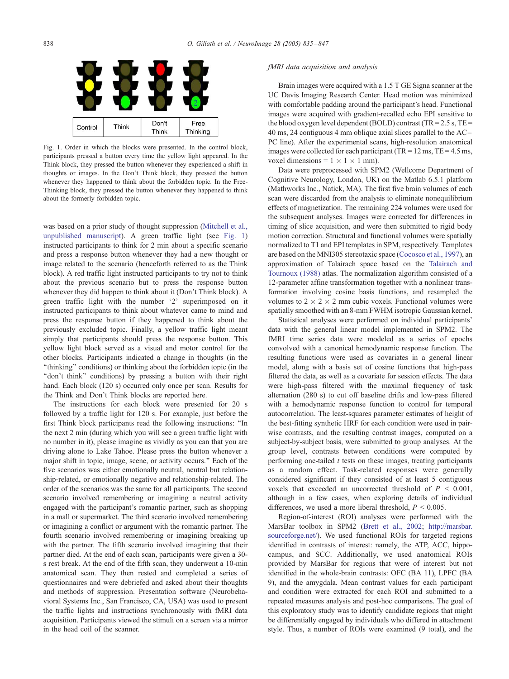

Fig. 1. Order in which the blocks were presented. In the control block, participants pressed a button every time the yellow light appeared. In the Think block, they pressed the button whenever they experienced a shift in thoughts or images. In the Don't Think block, they pressed the button whenever they happened to think about the forbidden topic. In the Free-Thinking block, they pressed the button whenever they happened to think about the formerly forbidden topic.

was based on a prior study of thought suppression ([Mitchell et al.,](#page-12-0) unpublished manuscript). A green traffic light (see Fig. 1) instructed participants to think for 2 min about a specific scenario and press a response button whenever they had a new thought or image related to the scenario (henceforth referred to as the Think block). A red traffic light instructed participants to try not to think about the previous scenario but to press the response button whenever they did happen to think about it (Don't Think block). A green traffic light with the number '2' superimposed on it instructed participants to think about whatever came to mind and press the response button if they happened to think about the previously excluded topic. Finally, a yellow traffic light meant simply that participants should press the response button. This yellow light block served as a visual and motor control for the other blocks. Participants indicated a change in thoughts (in the ''thinking'' conditions) or thinking about the forbidden topic (in the "don't think" conditions) by pressing a button with their right hand. Each block (120 s) occurred only once per scan. Results for the Think and Don't Think blocks are reported here.

The instructions for each block were presented for 20 s followed by a traffic light for 120 s. For example, just before the first Think block participants read the following instructions: ''In the next 2 min (during which you will see a green traffic light with no number in it), please imagine as vividly as you can that you are driving alone to Lake Tahoe. Please press the button whenever a major shift in topic, image, scene, or activity occurs.'' Each of the five scenarios was either emotionally neutral, neutral but relationship-related, or emotionally negative and relationship-related. The order of the scenarios was the same for all participants. The second scenario involved remembering or imagining a neutral activity engaged with the participant's romantic partner, such as shopping in a mall or supermarket. The third scenario involved remembering or imagining a conflict or argument with the romantic partner. The fourth scenario involved remembering or imagining breaking up with the partner. The fifth scenario involved imagining that their partner died. At the end of each scan, participants were given a 30 s rest break. At the end of the fifth scan, they underwent a 10-min anatomical scan. They then rested and completed a series of questionnaires and were debriefed and asked about their thoughts and methods of suppression. Presentation software (Neurobehavioral Systems Inc., San Francisco, CA, USA) was used to present the traffic lights and instructions synchronously with fMRI data acquisition. Participants viewed the stimuli on a screen via a mirror in the head coil of the scanner.

## fMRI data acquisition and analysis

Brain images were acquired with a 1.5 T GE Signa scanner at the UC Davis Imaging Research Center. Head motion was minimized with comfortable padding around the participant's head. Functional images were acquired with gradient-recalled echo EPI sensitive to the blood oxygen level dependent (BOLD) contrast (TR =  $2.5$  s, TE = 40 ms, 24 contiguous 4 mm oblique axial slices parallel to the AC – PC line). After the experimental scans, high-resolution anatomical images were collected for each participant (TR =  $12 \text{ ms}$ , TE =  $4.5 \text{ ms}$ , voxel dimensions =  $1 \times 1 \times 1$  mm).

Data were preprocessed with SPM2 (Wellcome Department of Cognitive Neurology, London, UK) on the Matlab 6.5.1 platform (Mathworks Inc., Natick, MA). The first five brain volumes of each scan were discarded from the analysis to eliminate nonequilibrium effects of magnetization. The remaining 224 volumes were used for the subsequent analyses. Images were corrected for differences in timing of slice acquisition, and were then submitted to rigid body motion correction. Structural and functional volumes were spatially normalized to T1 and EPI templates in SPM, respectively. Templates are based on the MNI305 stereotaxic space ([Cocosco et al., 1997\)](#page-11-0), an approximation of Talairach space based on the [Talairach and](#page-12-0) Tournoux (1988) atlas. The normalization algorithm consisted of a 12-parameter affine transformation together with a nonlinear transformation involving cosine basis functions, and resampled the volumes to  $2 \times 2 \times 2$  mm cubic voxels. Functional volumes were spatially smoothed with an 8-mm FWHM isotropic Gaussian kernel.

Statistical analyses were performed on individual participants' data with the general linear model implemented in SPM2. The fMRI time series data were modeled as a series of epochs convolved with a canonical hemodynamic response function. The resulting functions were used as covariates in a general linear model, along with a basis set of cosine functions that high-pass filtered the data, as well as a covariate for session effects. The data were high-pass filtered with the maximal frequency of task alternation (280 s) to cut off baseline drifts and low-pass filtered with a hemodynamic response function to control for temporal autocorrelation. The least-squares parameter estimates of height of the best-fitting synthetic HRF for each condition were used in pairwise contrasts, and the resulting contrast images, computed on a subject-by-subject basis, were submitted to group analyses. At the group level, contrasts between conditions were computed by performing one-tailed  $t$  tests on these images, treating participants as a random effect. Task-related responses were generally considered significant if they consisted of at least 5 contiguous voxels that exceeded an uncorrected threshold of  $P \leq 0.001$ , although in a few cases, when exploring details of individual differences, we used a more liberal threshold,  $P < 0.005$ .

Region-of-interest (ROI) analyses were performed with the MarsBar toolbox in SPM2 ([Brett et al., 2002;](#page-10-0) [http://marsbar.]( http:\\www.marsbar.sourceforge.net ) sourceforge.net/). We used functional ROIs for targeted regions identified in contrasts of interest: namely, the ATP, ACC, hippocampus, and SCC. Additionally, we used anatomical ROIs provided by MarsBar for regions that were of interest but not identified in the whole-brain contrasts: OFC (BA 11), LPFC (BA 9), and the amygdala. Mean contrast values for each participant and condition were extracted for each ROI and submitted to a repeated measures analysis and post-hoc comparisons. The goal of this exploratory study was to identify candidate regions that might be differentially engaged by individuals who differed in attachment style. Thus, a number of ROIs were examined (9 total), and the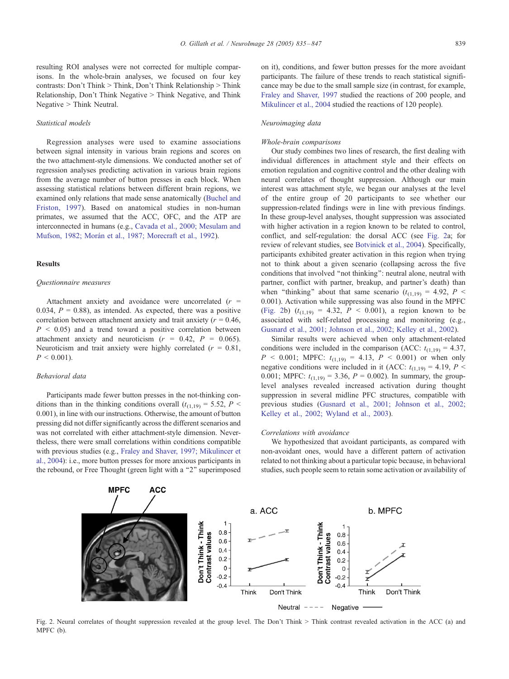resulting ROI analyses were not corrected for multiple comparisons. In the whole-brain analyses, we focused on four key contrasts: Don't Think > Think, Don't Think Relationship > Think Relationship, Don't Think Negative > Think Negative, and Think Negative > Think Neutral.

## Statistical models

Regression analyses were used to examine associations between signal intensity in various brain regions and scores on the two attachment-style dimensions. We conducted another set of regression analyses predicting activation in various brain regions from the average number of button presses in each block. When assessing statistical relations between different brain regions, we examined only relations that made sense anatomically ([Buchel and](#page-10-0) Friston, 1997). Based on anatomical studies in non-human primates, we assumed that the ACC, OFC, and the ATP are interconnected in humans (e.g., [Cavada et al., 2000; Mesulam and](#page-11-0) Mufson, 1982; Morán et al., 1987; Morecraft et al., 1992).

# Results

# Questionnaire measures

Attachment anxiety and avoidance were uncorrelated  $(r =$ 0.034,  $P = 0.88$ ), as intended. As expected, there was a positive correlation between attachment anxiety and trait anxiety ( $r = 0.46$ ,  $P \leq 0.05$  and a trend toward a positive correlation between attachment anxiety and neuroticism  $(r = 0.42, P = 0.065)$ . Neuroticism and trait anxiety were highly correlated  $(r = 0.81,$  $P \leq 0.001$ ).

# Behavioral data

Participants made fewer button presses in the not-thinking conditions than in the thinking conditions overall  $(t_{(1,19)} = 5.52, P <$ 0.001), in line with our instructions. Otherwise, the amount of button pressing did not differ significantly across the different scenarios and was not correlated with either attachment-style dimension. Nevertheless, there were small correlations within conditions compatible with previous studies (e.g., [Fraley and Shaver, 1997; Mikulincer et](#page-11-0) al., 2004): i.e., more button presses for more anxious participants in the rebound, or Free Thought (green light with a "2" superimposed

on it), conditions, and fewer button presses for the more avoidant participants. The failure of these trends to reach statistical significance may be due to the small sample size (in contrast, for example, [Fraley and Shaver, 1997](#page-11-0) studied the reactions of 200 people, and [Mikulincer et al., 2004](#page-11-0) studied the reactions of 120 people).

# Neuroimaging data

#### Whole-brain comparisons

Our study combines two lines of research, the first dealing with individual differences in attachment style and their effects on emotion regulation and cognitive control and the other dealing with neural correlates of thought suppression. Although our main interest was attachment style, we began our analyses at the level of the entire group of 20 participants to see whether our suppression-related findings were in line with previous findings. In these group-level analyses, thought suppression was associated with higher activation in a region known to be related to control, conflict, and self-regulation: the dorsal ACC (see Fig. 2a; for review of relevant studies, see [Botvinick et al., 2004\)](#page-10-0). Specifically, participants exhibited greater activation in this region when trying not to think about a given scenario (collapsing across the five conditions that involved ''not thinking'': neutral alone, neutral with partner, conflict with partner, breakup, and partner's death) than when "thinking" about that same scenario  $(t_{(1,19)} = 4.92, P <$ 0.001). Activation while suppressing was also found in the MPFC (Fig. 2b)  $(t_{(1,19)} = 4.32, P < 0.001)$ , a region known to be associated with self-related processing and monitoring (e.g., [Gusnard et al., 2001; Johnson et al., 2002; Kelley et al., 2002\)](#page-11-0).

Similar results were achieved when only attachment-related conditions were included in the comparison (ACC:  $t_{(1,19)} = 4.37$ ,  $P \le 0.001$ ; MPFC:  $t_{(1,19)} = 4.13$ ,  $P \le 0.001$ ) or when only negative conditions were included in it (ACC:  $t_{(1,19)} = 4.19$ ,  $P \le$ 0.001; MPFC:  $t_{(1,19)} = 3.36$ ,  $P = 0.002$ ). In summary, the grouplevel analyses revealed increased activation during thought suppression in several midline PFC structures, compatible with previous studies ([Gusnard et al., 2001; Johnson et al., 2002;](#page-11-0) Kelley et al., 2002; Wyland et al., 2003).

### Correlations with avoidance

We hypothesized that avoidant participants, as compared with non-avoidant ones, would have a different pattern of activation related to not thinking about a particular topic because, in behavioral studies, such people seem to retain some activation or availability of



Fig. 2. Neural correlates of thought suppression revealed at the group level. The Don't Think > Think contrast revealed activation in the ACC (a) and MPFC (b).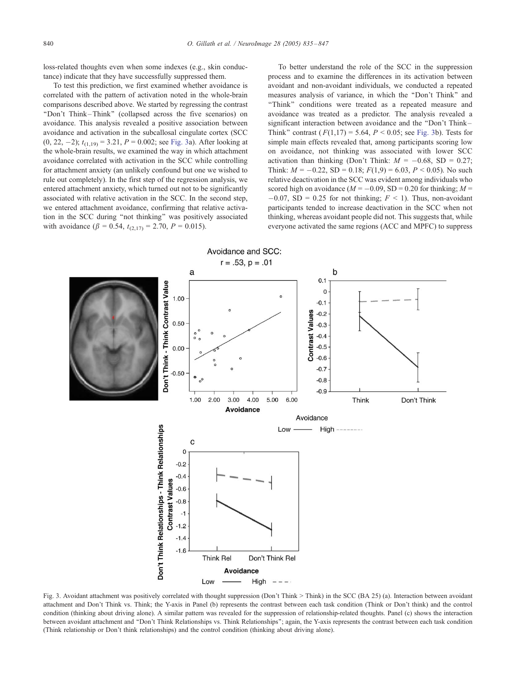<span id="page-5-0"></span>loss-related thoughts even when some indexes (e.g., skin conductance) indicate that they have successfully suppressed them.

To test this prediction, we first examined whether avoidance is correlated with the pattern of activation noted in the whole-brain comparisons described above. We started by regressing the contrast "Don't Think-Think" (collapsed across the five scenarios) on avoidance. This analysis revealed a positive association between avoidance and activation in the subcallosal cingulate cortex (SCC  $(0, 22, -2); t_{(1,19)} = 3.21, P = 0.002;$  see Fig. 3a). After looking at the whole-brain results, we examined the way in which attachment avoidance correlated with activation in the SCC while controlling for attachment anxiety (an unlikely confound but one we wished to rule out completely). In the first step of the regression analysis, we entered attachment anxiety, which turned out not to be significantly associated with relative activation in the SCC. In the second step, we entered attachment avoidance, confirming that relative activation in the SCC during ''not thinking'' was positively associated with avoidance ( $\beta = 0.54$ ,  $t_{(2,17)} = 2.70$ ,  $P = 0.015$ ).

To better understand the role of the SCC in the suppression process and to examine the differences in its activation between avoidant and non-avoidant individuals, we conducted a repeated measures analysis of variance, in which the ''Don't Think'' and ''Think'' conditions were treated as a repeated measure and avoidance was treated as a predictor. The analysis revealed a significant interaction between avoidance and the ''Don't Think – Think" contrast  $(F(1,17) = 5.64, P < 0.05$ ; see Fig. 3b). Tests for simple main effects revealed that, among participants scoring low on avoidance, not thinking was associated with lower SCC activation than thinking (Don't Think:  $M = -0.68$ , SD = 0.27; Think:  $M = -0.22$ , SD = 0.18;  $F(1,9) = 6.03$ ,  $P < 0.05$ ). No such relative deactivation in the SCC was evident among individuals who scored high on avoidance ( $M = -0.09$ , SD = 0.20 for thinking;  $M =$  $-0.07$ , SD = 0.25 for not thinking;  $F < 1$ ). Thus, non-avoidant participants tended to increase deactivation in the SCC when not thinking, whereas avoidant people did not. This suggests that, while everyone activated the same regions (ACC and MPFC) to suppress



Fig. 3. Avoidant attachment was positively correlated with thought suppression (Don't Think > Think) in the SCC (BA 25) (a). Interaction between avoidant attachment and Don't Think vs. Think; the Y-axis in Panel (b) represents the contrast between each task condition (Think or Don't think) and the control condition (thinking about driving alone). A similar pattern was revealed for the suppression of relationship-related thoughts. Panel (c) shows the interaction between avoidant attachment and ''Don't Think Relationships vs. Think Relationships''; again, the Y-axis represents the contrast between each task condition (Think relationship or Don't think relationships) and the control condition (thinking about driving alone).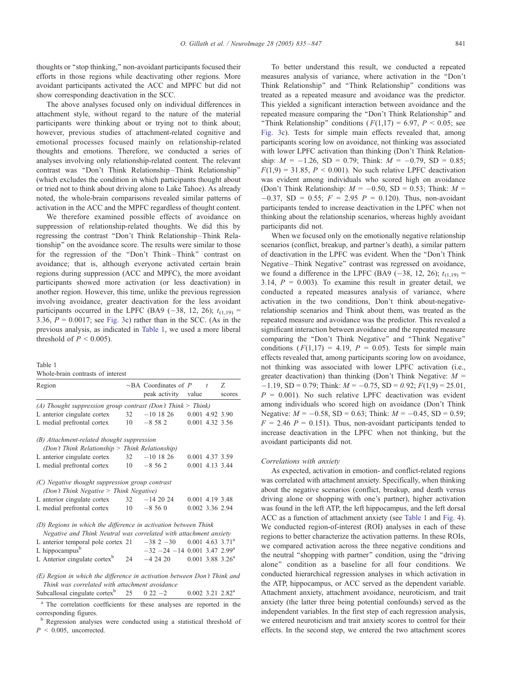thoughts or ''stop thinking,'' non-avoidant participants focused their efforts in those regions while deactivating other regions. More avoidant participants activated the ACC and MPFC but did not show corresponding deactivation in the SCC.

The above analyses focused only on individual differences in attachment style, without regard to the nature of the material participants were thinking about or trying not to think about; however, previous studies of attachment-related cognitive and emotional processes focused mainly on relationship-related thoughts and emotions. Therefore, we conducted a series of analyses involving only relationship-related content. The relevant contrast was ''Don't Think Relationship –Think Relationship'' (which excludes the condition in which participants thought about or tried not to think about driving alone to Lake Tahoe). As already noted, the whole-brain comparisons revealed similar patterns of activation in the ACC and the MPFC regardless of thought content.

We therefore examined possible effects of avoidance on suppression of relationship-related thoughts. We did this by regressing the contrast ''Don't Think Relationship –Think Relationship'' on the avoidance score. The results were similar to those for the regression of the "Don't Think-Think" contrast on avoidance; that is, although everyone activated certain brain regions during suppression (ACC and MPFC), the more avoidant participants showed more activation (or less deactivation) in another region. However, this time, unlike the previous regression involving avoidance, greater deactivation for the less avoidant participants occurred in the LPFC (BA9  $(-38, 12, 26)$ ;  $t_{(1,19)} =$ 3.36,  $P = 0.0017$ ; see [Fig. 3c](#page-5-0)) rather than in the SCC. (As in the previous analysis, as indicated in Table 1, we used a more liberal threshold of  $P \leq 0.005$ ).

| Table 1<br>Whole-brain contrasts of interest                                                                                         |                                                       |                                |             |
|--------------------------------------------------------------------------------------------------------------------------------------|-------------------------------------------------------|--------------------------------|-------------|
| Region                                                                                                                               | $\sim$ BA Coordinates of P $t$<br>peak activity value |                                | Z<br>scores |
| (A) Thought suppression group contrast (Don't Think $>$ Think)                                                                       |                                                       |                                |             |
| L anterior cingulate cortex                                                                                                          | $32 - 101826$                                         | 0.001 4.92 3.90                |             |
| L medial prefrontal cortex 10                                                                                                        | $-8582$                                               | 0.001 4.32 3.56                |             |
| (B) Attachment-related thought suppression                                                                                           |                                                       |                                |             |
| (Don't Think Relationship > Think Relationship)                                                                                      |                                                       |                                |             |
| L anterior cingulate cortex 32                                                                                                       | $-10$ 18 26                                           | 0.001 4.37 3.59                |             |
| L medial prefrontal cortex 10                                                                                                        | $-8, 56, 2$                                           | 0.001 4.13 3.44                |             |
| (C) Negative thought suppression group contrast<br>(Don't Think Negative > Think Negative)                                           |                                                       |                                |             |
| L anterior cingulate cortex $32 -142024$                                                                                             |                                                       | 0.001 4.19 3.48                |             |
| L medial prefrontal cortex 10                                                                                                        | $-8560$                                               | 0.002 3.36 2.94                |             |
| (D) Regions in which the difference in activation between Think<br>Negative and Think Neutral was correlated with attachment anxiety |                                                       |                                |             |
| L anterior temporal pole cortex $21 -382 -30$                                                                                        |                                                       | $0.001$ 4.63 3.71 <sup>a</sup> |             |
| L hippocampus $b$                                                                                                                    | $-32 -24 -14$ 0.001 3.47 2.99 <sup>a</sup>            |                                |             |
| L Anterior cingulate cortex <sup>b</sup>                                                                                             | $24 -42420$                                           | $0.001$ 3.88 3.26 <sup>a</sup> |             |
| (E) Region in which the difference in activation between Don't Think and                                                             |                                                       |                                |             |

Think was correlated with attachment avoidance Subcallosal cingulate cortex<sup>b</sup> 25 0 22  $-2$ 0.002 3.21 2.82<sup>a</sup>

<sup>a</sup> The correlation coefficients for these analyses are reported in the corresponding figures.

<sup>b</sup> Regression analyses were conducted using a statistical threshold of  $P < 0.005$ , uncorrected.

To better understand this result, we conducted a repeated measures analysis of variance, where activation in the ''Don't Think Relationship'' and ''Think Relationship'' conditions was treated as a repeated measure and avoidance was the predictor. This yielded a significant interaction between avoidance and the repeated measure comparing the ''Don't Think Relationship'' and "Think Relationship" conditions  $(F(1,17) = 6.97, P < 0.05;$  see [Fig. 3c](#page-5-0)). Tests for simple main effects revealed that, among participants scoring low on avoidance, not thinking was associated with lower LPFC activation than thinking (Don't Think Relationship:  $M = -1.26$ , SD = 0.79; Think:  $M = -0.79$ , SD = 0.85;  $F(1,9) = 31.85$ ,  $P < 0.001$ ). No such relative LPFC deactivation was evident among individuals who scored high on avoidance (Don't Think Relationship:  $M = -0.50$ , SD = 0.53; Think:  $M =$  $-0.37$ , SD = 0.55;  $F = 2.95$  P = 0.120). Thus, non-avoidant participants tended to increase deactivation in the LPFC when not thinking about the relationship scenarios, whereas highly avoidant participants did not.

When we focused only on the emotionally negative relationship scenarios (conflict, breakup, and partner's death), a similar pattern of deactivation in the LPFC was evident. When the ''Don't Think Negative –Think Negative'' contrast was regressed on avoidance, we found a difference in the LPFC (BA9  $(-38, 12, 26)$ ;  $t_{(1,19)} =$ 3.14,  $P = 0.003$ ). To examine this result in greater detail, we conducted a repeated measures analysis of variance, where activation in the two conditions, Don't think about-negativerelationship scenarios and Think about them, was treated as the repeated measure and avoidance was the predictor. This revealed a significant interaction between avoidance and the repeated measure comparing the ''Don't Think Negative'' and ''Think Negative'' conditions  $(F(1,17) = 4.19, P = 0.05)$ . Tests for simple main effects revealed that, among participants scoring low on avoidance, not thinking was associated with lower LPFC activation (i.e., greater deactivation) than thinking (Don't Think Negative:  $M =$  $-1.19$ , SD = 0.79; Think:  $M = -0.75$ , SD = 0.92;  $F(1,9) = 25.01$ ,  $P = 0.001$ ). No such relative LPFC deactivation was evident among individuals who scored high on avoidance (Don't Think Negative:  $M = -0.58$ , SD = 0.63; Think:  $M = -0.45$ , SD = 0.59;  $F = 2.46$   $P = 0.151$ . Thus, non-avoidant participants tended to increase deactivation in the LPFC when not thinking, but the avoidant participants did not.

# Correlations with anxiety

As expected, activation in emotion- and conflict-related regions was correlated with attachment anxiety. Specifically, when thinking about the negative scenarios (conflict, breakup, and death versus driving alone or shopping with one's partner), higher activation was found in the left ATP, the left hippocampus, and the left dorsal ACC as a function of attachment anxiety (see Table 1 and [Fig. 4\)](#page-7-0). We conducted region-of-interest (ROI) analyses in each of these regions to better characterize the activation patterns. In these ROIs, we compared activation across the three negative conditions and the neutral ''shopping with partner'' condition, using the ''driving alone'' condition as a baseline for all four conditions. We conducted hierarchical regression analyses in which activation in the ATP, hippocampus, or ACC served as the dependent variable. Attachment anxiety, attachment avoidance, neuroticism, and trait anxiety (the latter three being potential confounds) served as the independent variables. In the first step of each regression analysis, we entered neuroticism and trait anxiety scores to control for their effects. In the second step, we entered the two attachment scores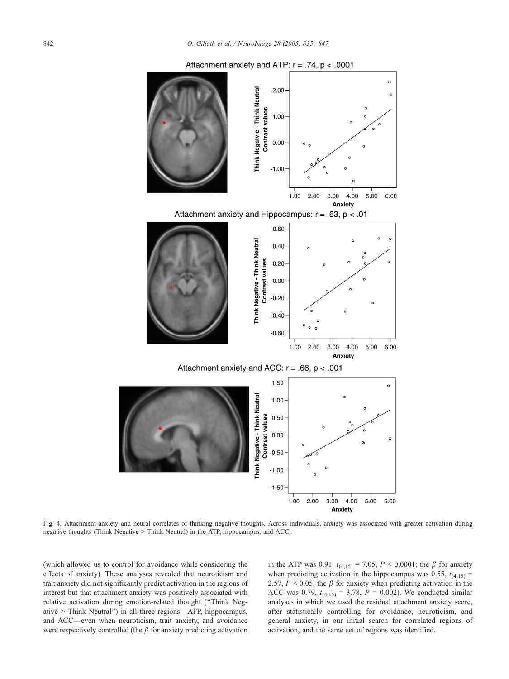# Attachment anxiety and ATP:  $r = .74$ ,  $p < .0001$

<span id="page-7-0"></span>

Fig. 4. Attachment anxiety and neural correlates of thinking negative thoughts. Across individuals, anxiety was associated with greater activation during negative thoughts (Think Negative > Think Neutral) in the ATP, hippocampus, and ACC.

(which allowed us to control for avoidance while considering the effects of anxiety). These analyses revealed that neuroticism and trait anxiety did not significantly predict activation in the regions of interest but that attachment anxiety was positively associated with relative activation during emotion-related thought (''Think Negative > Think Neutral'') in all three regions—ATP, hippocampus, and ACC—even when neuroticism, trait anxiety, and avoidance were respectively controlled (the  $\beta$  for anxiety predicting activation

in the ATP was 0.91,  $t_{(4,15)} = 7.05$ ,  $P < 0.0001$ ; the  $\beta$  for anxiety when predicting activation in the hippocampus was 0.55,  $t_{(4,15)}$  = 2.57,  $P < 0.05$ ; the  $\beta$  for anxiety when predicting activation in the ACC was 0.79,  $t_{(4,15)} = 3.78$ ,  $P = 0.002$ ). We conducted similar analyses in which we used the residual attachment anxiety score, after statistically controlling for avoidance, neuroticism, and general anxiety, in our initial search for correlated regions of activation, and the same set of regions was identified.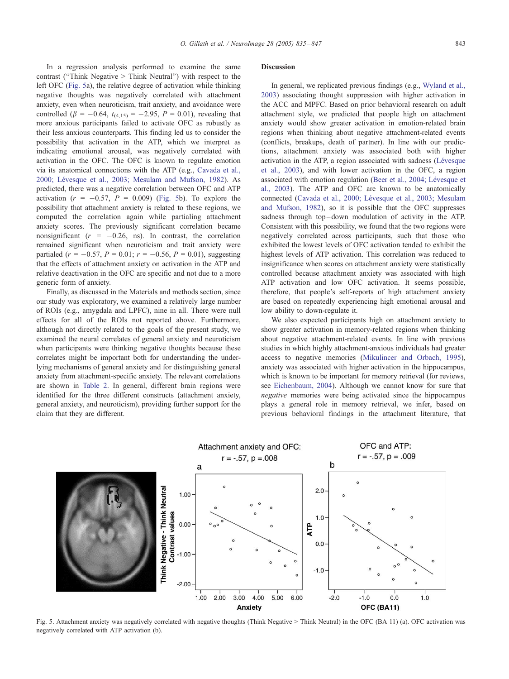In a regression analysis performed to examine the same contrast ("Think Negative > Think Neutral") with respect to the left OFC (Fig. 5a), the relative degree of activation while thinking negative thoughts was negatively correlated with attachment anxiety, even when neuroticism, trait anxiety, and avoidance were controlled ( $\beta = -0.64$ ,  $t_{(4,15)} = -2.95$ ,  $P = 0.01$ ), revealing that more anxious participants failed to activate OFC as robustly as their less anxious counterparts. This finding led us to consider the possibility that activation in the ATP, which we interpret as indicating emotional arousal, was negatively correlated with activation in the OFC. The OFC is known to regulate emotion via its anatomical connections with the ATP (e.g., [Cavada et al.,](#page-11-0) 2000; Lévesque et al., 2003; Mesulam and Mufson, 1982). As predicted, there was a negative correlation between OFC and ATP activation ( $r = -0.57$ ,  $P = 0.009$ ) (Fig. 5b). To explore the possibility that attachment anxiety is related to these regions, we computed the correlation again while partialing attachment anxiety scores. The previously significant correlation became nonsignificant  $(r = -0.26, \text{ ns})$ . In contrast, the correlation remained significant when neuroticism and trait anxiety were partialed  $(r = -0.57, P = 0.01; r = -0.56, P = 0.01)$ , suggesting that the effects of attachment anxiety on activation in the ATP and relative deactivation in the OFC are specific and not due to a more generic form of anxiety.

Finally, as discussed in the Materials and methods section, since our study was exploratory, we examined a relatively large number of ROIs (e.g., amygdala and LPFC), nine in all. There were null effects for all of the ROIs not reported above. Furthermore, although not directly related to the goals of the present study, we examined the neural correlates of general anxiety and neuroticism when participants were thinking negative thoughts because these correlates might be important both for understanding the underlying mechanisms of general anxiety and for distinguishing general anxiety from attachment-specific anxiety. The relevant correlations are shown in [Table 2.](#page-9-0) In general, different brain regions were identified for the three different constructs (attachment anxiety, general anxiety, and neuroticism), providing further support for the claim that they are different.

# Discussion

In general, we replicated previous findings (e.g., [Wyland et al.,](#page-12-0) 2003) associating thought suppression with higher activation in the ACC and MPFC. Based on prior behavioral research on adult attachment style, we predicted that people high on attachment anxiety would show greater activation in emotion-related brain regions when thinking about negative attachment-related events (conflicts, breakups, death of partner). In line with our predictions, attachment anxiety was associated both with higher activation in the ATP, a region associated with sadness (Lévesque et al., 2003), and with lower activation in the OFC, a region associated with emotion regulation (Beer et al., 2004; Lévesque et al., 2003). The ATP and OFC are known to be anatomically connected (Cavada et al., 2000; Lévesque et al., 2003; Mesulam and Mufson, 1982), so it is possible that the OFC suppresses sadness through top-down modulation of activity in the ATP. Consistent with this possibility, we found that the two regions were negatively correlated across participants, such that those who exhibited the lowest levels of OFC activation tended to exhibit the highest levels of ATP activation. This correlation was reduced to insignificance when scores on attachment anxiety were statistically controlled because attachment anxiety was associated with high ATP activation and low OFC activation. It seems possible, therefore, that people's self-reports of high attachment anxiety are based on repeatedly experiencing high emotional arousal and low ability to down-regulate it.

We also expected participants high on attachment anxiety to show greater activation in memory-related regions when thinking about negative attachment-related events. In line with previous studies in which highly attachment-anxious individuals had greater access to negative memories ([Mikulincer and Orbach, 1995\)](#page-11-0), anxiety was associated with higher activation in the hippocampus, which is known to be important for memory retrieval (for reviews, see [Eichenbaum, 2004\)](#page-11-0). Although we cannot know for sure that negative memories were being activated since the hippocampus plays a general role in memory retrieval, we infer, based on previous behavioral findings in the attachment literature, that



Fig. 5. Attachment anxiety was negatively correlated with negative thoughts (Think Negative > Think Neutral) in the OFC (BA 11) (a). OFC activation was negatively correlated with ATP activation (b).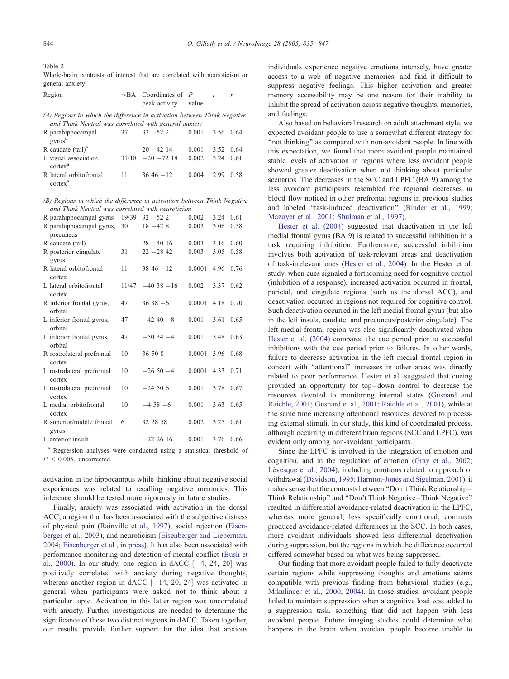<span id="page-9-0"></span>Table 2

Whole-brain contrasts of interest that are correlated with neuroticism or general anxiety

| Region                                                                                                                            | $\sim$ BA | Coordinates of $P$<br>peak activity | value  | t    | r    |  |  |  |  |  |
|-----------------------------------------------------------------------------------------------------------------------------------|-----------|-------------------------------------|--------|------|------|--|--|--|--|--|
| (A) Regions in which the difference in activation between Think Negative<br>and Think Neutral was correlated with general anxiety |           |                                     |        |      |      |  |  |  |  |  |
| R parahippocampal<br>gyrus <sup>a</sup>                                                                                           | 37        | $32 - 522$                          | 0.001  | 3.56 | 0.64 |  |  |  |  |  |
| R caudate $(tail)^a$                                                                                                              |           | $20 - 4214$                         | 0.001  | 3.52 | 0.64 |  |  |  |  |  |
| L visual association<br>cortex <sup>a</sup>                                                                                       | 31/18     | $-20 - 7218$                        | 0.002  | 3.24 | 0.61 |  |  |  |  |  |
| R lateral orbitofrontal<br>cortex <sup>a</sup>                                                                                    | 11        | $3646 - 12$                         | 0.004  | 2.99 | 0.58 |  |  |  |  |  |
| (B) Regions in which the difference in activation between Think Negative<br>and Think Neutral was correlated with neuroticism     |           |                                     |        |      |      |  |  |  |  |  |
| R parahippocampal gyrus                                                                                                           | 19/39     | $32 - 522$                          | 0.002  | 3.24 | 0.61 |  |  |  |  |  |
| R parahippocampal gyrus,<br>precuneus                                                                                             | 30        | $18 - 428$                          | 0.003  | 3.06 | 0.58 |  |  |  |  |  |
| R caudate (tail)                                                                                                                  |           | $28 - 4016$                         | 0.003  | 3.16 | 0.60 |  |  |  |  |  |
| R posterior cingulate<br>gyrus                                                                                                    | 31        | $22 - 2842$                         | 0.003  | 3.05 | 0.58 |  |  |  |  |  |
| R lateral orbitofrontal<br>cortex                                                                                                 | 11        | $3846 - 12$                         | 0.0001 | 4.96 | 0.76 |  |  |  |  |  |
| L lateral orbitofrontal<br>cortex                                                                                                 | 11/47     | $-4038 - 16$                        | 0.002  | 3.37 | 0.62 |  |  |  |  |  |
| R inferior frontal gyrus,<br>orbital                                                                                              | 47        | $3638 - 6$                          | 0.0001 | 4.18 | 0.70 |  |  |  |  |  |
| L inferior frontal gyrus,<br>orbital                                                                                              | 47        | $-42,40-8$                          | 0.001  | 3.61 | 0.65 |  |  |  |  |  |
| L inferior frontal gyrus,<br>orbital                                                                                              | 47        | $-5034 - 4$                         | 0.001  | 3.48 | 0.63 |  |  |  |  |  |
| R rostrolateral prefrontal<br>cortex                                                                                              | 10        | 36 50 8                             | 0.0001 | 3.96 | 0.68 |  |  |  |  |  |
| L rostrolateral prefrontal<br>cortex                                                                                              | 10        | $-2650 - 4$                         | 0.0001 | 4.33 | 0.71 |  |  |  |  |  |
| L rostrolateral prefrontal<br>cortex                                                                                              | 10        | $-24506$                            | 0.001  | 3.78 | 0.67 |  |  |  |  |  |
| L medial orbitofrontal<br>cortex                                                                                                  | 10        | $-458-6$                            | 0.001  | 3.63 | 0.65 |  |  |  |  |  |
| R superior/middle frontal<br>gyrus                                                                                                | 6         | 32 28 58                            | 0.002  | 3.25 | 0.61 |  |  |  |  |  |
| L anterior insula                                                                                                                 |           | $-222616$                           | 0.001  | 3.76 | 0.66 |  |  |  |  |  |

<sup>a</sup> Regression analyses were conducted using a statistical threshold of  $P \leq 0.005$ , uncorrected.

activation in the hippocampus while thinking about negative social experiences was related to recalling negative memories. This inference should be tested more rigorously in future studies.

Finally, anxiety was associated with activation in the dorsal ACC, a region that has been associated with the subjective distress of physical pain ([Rainville et al., 1997\)](#page-12-0), social rejection ([Eisen](#page-11-0)berger et al., 2003), and neuroticism ([Eisenberger and Lieberman,](#page-11-0) 2004; Eisenberger et al., in press). It has also been associated with performance monitoring and detection of mental conflict ([Bush et](#page-10-0) al., 2000). In our study, one region in dACC  $[-4, 24, 20]$  was positively correlated with anxiety during negative thoughts, whereas another region in  $dACC$   $[-14, 20, 24]$  was activated in general when participants were asked not to think about a particular topic. Activation in this latter region was uncorrelated with anxiety. Further investigations are needed to determine the significance of these two distinct regions in dACC. Taken together, our results provide further support for the idea that anxious

individuals experience negative emotions intensely, have greater access to a web of negative memories, and find it difficult to suppress negative feelings. This higher activation and greater memory accessibility may be one reason for their inability to inhibit the spread of activation across negative thoughts, memories, and feelings.

Also based on behavioral research on adult attachment style, we expected avoidant people to use a somewhat different strategy for "not thinking" as compared with non-avoidant people. In line with this expectation, we found that more avoidant people maintained stable levels of activation in regions where less avoidant people showed greater deactivation when not thinking about particular scenarios. The decreases in the SCC and LPFC (BA 9) among the less avoidant participants resembled the regional decreases in blood flow noticed in other prefrontal regions in previous studies and labeled "task-induced deactivation" ([Binder et al., 1999;](#page-10-0) Mazoyer et al., 2001; Shulman et al., 1997).

[Hester et al. \(2004\)](#page-11-0) suggested that deactivation in the left medial frontal gyrus (BA 9) is related to successful inhibition in a task requiring inhibition. Furthermore, successful inhibition involves both activation of task-relevant areas and deactivation of task-irrelevant ones ([Hester et al., 2004\)](#page-11-0). In the Hester et al. study, when cues signaled a forthcoming need for cognitive control (inhibition of a response), increased activation occurred in frontal, parietal, and cingulate regions (such as the dorsal ACC), and deactivation occurred in regions not required for cognitive control. Such deactivation occurred in the left medial frontal gyrus (but also in the left insula, caudate, and precuneus/posterior cingulate). The left medial frontal region was also significantly deactivated when [Hester et al. \(2004\)](#page-11-0) compared the cue period prior to successful inhibitions with the cue period prior to failures. In other words, failure to decrease activation in the left medial frontal region in concert with ''attentional'' increases in other areas was directly related to poor performance. Hester et al. suggested that cueing provided an opportunity for top – down control to decrease the resources devoted to monitoring internal states ([Gusnard and](#page-11-0) Raichle, 2001; Gusnard et al., 2001; Raichle et al., 2001), while at the same time increasing attentional resources devoted to processing external stimuli. In our study, this kind of coordinated process, although occurring in different brain regions (SCC and LPFC), was evident only among non-avoidant participants.

Since the LPFC is involved in the integration of emotion and cognition, and in the regulation of emotion ([Gray et al., 2002;](#page-11-0) Lévesque et al., 2004), including emotions related to approach or withdrawal ([Davidson, 1995; Harmon-Jones and Sigelman, 2001\)](#page-11-0), it makes sense that the contrasts between ''Don't Think Relationship – Think Relationship'' and ''Don't Think Negative –Think Negative'' resulted in differential avoidance-related deactivation in the LPFC, whereas more general, less specifically emotional, contrasts produced avoidance-related differences in the SCC. In both cases, more avoidant individuals showed less differential deactivation during suppression, but the regions in which the difference occurred differed somewhat based on what was being suppressed.

Our finding that more avoidant people failed to fully deactivate certain regions while suppressing thoughts and emotions seems compatible with previous finding from behavioral studies (e.g., [Mikulincer et al., 2000, 2004\)](#page-11-0). In those studies, avoidant people failed to maintain suppression when a cognitive load was added to a suppression task, something that did not happen with less avoidant people. Future imaging studies could determine what happens in the brain when avoidant people become unable to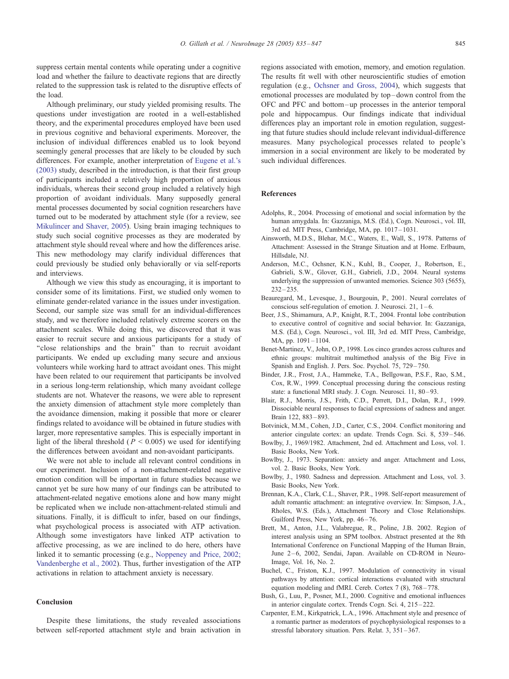<span id="page-10-0"></span>suppress certain mental contents while operating under a cognitive load and whether the failure to deactivate regions that are directly related to the suppression task is related to the disruptive effects of the load.

Although preliminary, our study yielded promising results. The questions under investigation are rooted in a well-established theory, and the experimental procedures employed have been used in previous cognitive and behavioral experiments. Moreover, the inclusion of individual differences enabled us to look beyond seemingly general processes that are likely to be clouded by such differences. For example, another interpretation of [Eugene et al.'s](#page-11-0) (2003) study, described in the introduction, is that their first group of participants included a relatively high proportion of anxious individuals, whereas their second group included a relatively high proportion of avoidant individuals. Many supposedly general mental processes documented by social cognition researchers have turned out to be moderated by attachment style (for a review, see [Mikulincer and Shaver, 2005\)](#page-11-0). Using brain imaging techniques to study such social cognitive processes as they are moderated by attachment style should reveal where and how the differences arise. This new methodology may clarify individual differences that could previously be studied only behaviorally or via self-reports and interviews.

Although we view this study as encouraging, it is important to consider some of its limitations. First, we studied only women to eliminate gender-related variance in the issues under investigation. Second, our sample size was small for an individual-differences study, and we therefore included relatively extreme scorers on the attachment scales. While doing this, we discovered that it was easier to recruit secure and anxious participants for a study of "close relationships and the brain" than to recruit avoidant participants. We ended up excluding many secure and anxious volunteers while working hard to attract avoidant ones. This might have been related to our requirement that participants be involved in a serious long-term relationship, which many avoidant college students are not. Whatever the reasons, we were able to represent the anxiety dimension of attachment style more completely than the avoidance dimension, making it possible that more or clearer findings related to avoidance will be obtained in future studies with larger, more representative samples. This is especially important in light of the liberal threshold ( $P < 0.005$ ) we used for identifying the differences between avoidant and non-avoidant participants.

We were not able to include all relevant control conditions in our experiment. Inclusion of a non-attachment-related negative emotion condition will be important in future studies because we cannot yet be sure how many of our findings can be attributed to attachment-related negative emotions alone and how many might be replicated when we include non-attachment-related stimuli and situations. Finally, it is difficult to infer, based on our findings, what psychological process is associated with ATP activation. Although some investigators have linked ATP activation to affective processing, as we are inclined to do here, others have linked it to semantic processing (e.g., [Noppeney and Price, 2002;](#page-12-0) Vandenberghe et al., 2002). Thus, further investigation of the ATP activations in relation to attachment anxiety is necessary.

# Conclusion

Despite these limitations, the study revealed associations between self-reported attachment style and brain activation in regions associated with emotion, memory, and emotion regulation. The results fit well with other neuroscientific studies of emotion regulation (e.g., [Ochsner and Gross, 2004\)](#page-12-0), which suggests that emotional processes are modulated by top – down control from the OFC and PFC and bottom – up processes in the anterior temporal pole and hippocampus. Our findings indicate that individual differences play an important role in emotion regulation, suggesting that future studies should include relevant individual-difference measures. Many psychological processes related to people's immersion in a social environment are likely to be moderated by such individual differences.

#### References

- Adolphs, R., 2004. Processing of emotional and social information by the human amygdala. In: Gazzaniga, M.S. (Ed.), Cogn. Neurosci., vol. III,  $3rd$  ed. MIT Press, Cambridge, MA, pp.  $1017 - 1031$ .
- Ainsworth, M.D.S., Blehar, M.C., Waters, E., Wall, S., 1978. Patterns of Attachment: Assessed in the Strange Situation and at Home. Erlbaum, Hillsdale, NJ.
- Anderson, M.C., Ochsner, K.N., Kuhl, B., Cooper, J., Robertson, E., Gabrieli, S.W., Glover, G.H., Gabrieli, J.D., 2004. Neural systems underlying the suppression of unwanted memories. Science 303 (5655),  $232 - 235$ .
- Beauregard, M., Levesque, J., Bourgouin, P., 2001. Neural correlates of conscious self-regulation of emotion. J. Neurosci. 21,  $1-6$ .
- Beer, J.S., Shimamura, A.P., Knight, R.T., 2004. Frontal lobe contribution to executive control of cognitive and social behavior. In: Gazzaniga, M.S. (Ed.), Cogn. Neurosci., vol. III, 3rd ed. MIT Press, Cambridge, MA, pp. 1091 – 1104.
- Benet-Martinez, V., John, O.P., 1998. Los cinco grandes across cultures and ethnic groups: multitrait multimethod analysis of the Big Five in Spanish and English. J. Pers. Soc. Psychol. 75, 729 – 750.
- Binder, J.R., Frost, J.A., Hammeke, T.A., Bellgowan, P.S.F., Rao, S.M., Cox, R.W., 1999. Conceptual processing during the conscious resting state: a functional MRI study. J. Cogn. Neurosci. 11, 80-93.
- Blair, R.J., Morris, J.S., Frith, C.D., Perrett, D.I., Dolan, R.J., 1999. Dissociable neural responses to facial expressions of sadness and anger. Brain 122, 883 – 893.
- Botvinick, M.M., Cohen, J.D., Carter, C.S., 2004. Conflict monitoring and anterior cingulate cortex: an update. Trends Cogn. Sci. 8, 539 – 546.
- Bowlby, J., 1969/1982. Attachment, 2nd ed. Attachment and Loss, vol. 1. Basic Books, New York.
- Bowlby, J., 1973. Separation: anxiety and anger. Attachment and Loss, vol. 2. Basic Books, New York.
- Bowlby, J., 1980. Sadness and depression. Attachment and Loss, vol. 3. Basic Books, New York.
- Brennan, K.A., Clark, C.L., Shaver, P.R., 1998. Self-report measurement of adult romantic attachment: an integrative overview. In: Simpson, J.A., Rholes, W.S. (Eds.), Attachment Theory and Close Relationships. Guilford Press, New York, pp. 46-76.
- Brett, M., Anton, J.L., Valabregue, R., Poline, J.B. 2002. Region of interest analysis using an SPM toolbox. Abstract presented at the 8th International Conference on Functional Mapping of the Human Brain, June 2-6, 2002, Sendai, Japan. Available on CD-ROM in Neuro-Image, Vol. 16, No. 2.
- Buchel, C., Friston, K.J., 1997. Modulation of connectivity in visual pathways by attention: cortical interactions evaluated with structural equation modeling and fMRI. Cereb. Cortex 7 (8), 768-778.
- Bush, G., Luu, P., Posner, M.I., 2000. Cognitive and emotional influences in anterior cingulate cortex. Trends Cogn. Sci. 4, 215 – 222.
- Carpenter, E.M., Kirkpatrick, L.A., 1996. Attachment style and presence of a romantic partner as moderators of psychophysiological responses to a stressful laboratory situation. Pers. Relat. 3, 351-367.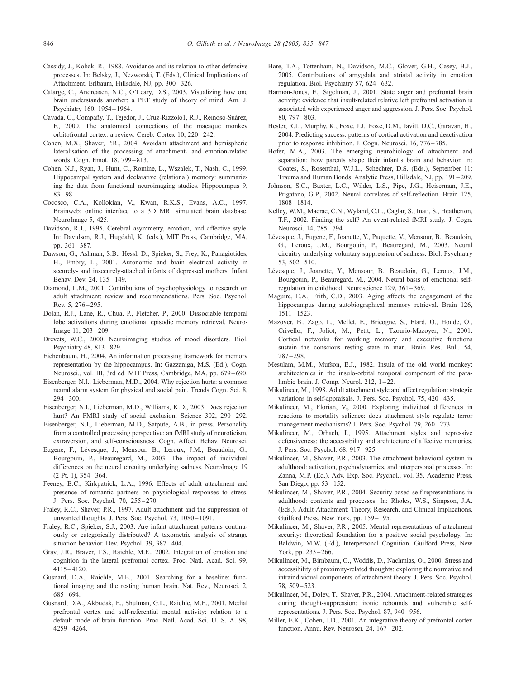- <span id="page-11-0"></span>Cassidy, J., Kobak, R., 1988. Avoidance and its relation to other defensive processes. In: Belsky, J., Nezworski, T. (Eds.), Clinical Implications of Attachment. Erlbaum, Hillsdale, NJ, pp. 300 – 326.
- Calarge, C., Andreasen, N.C., O'Leary, D.S., 2003. Visualizing how one brain understands another: a PET study of theory of mind. Am. J. Psychiatry 160, 1954 – 1964.
- Cavada, C., Compañy, T., Tejedor, J., Cruz-Rizzolo1, R.J., Reinoso-Suárez, F., 2000. The anatomical connections of the macaque monkey orbitofrontal cortex: a review. Cereb. Cortex 10, 220 – 242.
- Cohen, M.X., Shaver, P.R., 2004. Avoidant attachment and hemispheric lateralisation of the processing of attachment- and emotion-related words. Cogn. Emot. 18, 799 – 813.
- Cohen, N.J., Ryan, J., Hunt, C., Romine, L., Wszalek, T., Nash, C., 1999. Hippocampal system and declarative (relational) memory: summarizing the data from functional neuroimaging studies. Hippocampus 9, 83 – 98.
- Cocosco, C.A., Kollokian, V., Kwan, R.K.S., Evans, A.C., 1997. Brainweb: online interface to a 3D MRI simulated brain database. NeuroImage 5, 425.
- Davidson, R.J., 1995. Cerebral asymmetry, emotion, and affective style. In: Davidson, R.J., Hugdahl, K. (eds.), MIT Press, Cambridge, MA, pp. 361 – 387.
- Dawson, G., Ashman, S.B., Hessl, D., Spieker, S., Frey, K., Panagiotides, H., Embry, L., 2001. Autonomic and brain electrical activity in securely- and insecurely-attached infants of depressed mothers. Infant Behav. Dev. 24, 135 – 149.
- Diamond, L.M., 2001. Contributions of psychophysiology to research on adult attachment: review and recommendations. Pers. Soc. Psychol. Rev. 5, 276 – 295.
- Dolan, R.J., Lane, R., Chua, P., Fletcher, P., 2000. Dissociable temporal lobe activations during emotional episodic memory retrieval. Neuro-Image 11, 203 – 209.
- Drevets, W.C., 2000. Neuroimaging studies of mood disorders. Biol. Psychiatry 48, 813 – 829.
- Eichenbaum, H., 2004. An information processing framework for memory representation by the hippocampus. In: Gazzaniga, M.S. (Ed.), Cogn. Neurosci., vol. III, 3rd ed. MIT Press, Cambridge, MA, pp. 679–690.
- Eisenberger, N.I., Lieberman, M.D., 2004. Why rejection hurts: a common neural alarm system for physical and social pain. Trends Cogn. Sci. 8,  $294 - 300.$
- Eisenberger, N.I., Lieberman, M.D., Williams, K.D., 2003. Does rejection hurt? An FMRI study of social exclusion. Science 302, 290-292.
- Eisenberger, N.I., Lieberman, M.D., Satpute, A.B., in press. Personality from a controlled processing perspective: an fMRI study of neuroticism, extraversion, and self-consciousness. Cogn. Affect. Behav. Neurosci.
- Eugene, F., Lévesque, J., Mensour, B., Leroux, J.M., Beaudoin, G., Bourgouin, P., Beauregard, M., 2003. The impact of individual differences on the neural circuitry underlying sadness. NeuroImage 19 (2 Pt. 1), 354 – 364.
- Feeney, B.C., Kirkpatrick, L.A., 1996. Effects of adult attachment and presence of romantic partners on physiological responses to stress. J. Pers. Soc. Psychol. 70, 255 – 270.
- Fraley, R.C., Shaver, P.R., 1997. Adult attachment and the suppression of unwanted thoughts. J. Pers. Soc. Psychol. 73, 1080-1091.
- Fraley, R.C., Spieker, S.J., 2003. Are infant attachment patterns continuously or categorically distributed? A taxometric analysis of strange situation behavior. Dev. Psychol. 39, 387 – 404.
- Gray, J.R., Braver, T.S., Raichle, M.E., 2002. Integration of emotion and cognition in the lateral prefrontal cortex. Proc. Natl. Acad. Sci. 99, 4115 – 4120.
- Gusnard, D.A., Raichle, M.E., 2001. Searching for a baseline: functional imaging and the resting human brain. Nat. Rev., Neurosci. 2, 685 – 694.
- Gusnard, D.A., Akbudak, E., Shulman, G.L., Raichle, M.E., 2001. Medial prefrontal cortex and self-referential mental activity: relation to a default mode of brain function. Proc. Natl. Acad. Sci. U. S. A. 98, 4259 – 4264.
- Hare, T.A., Tottenham, N., Davidson, M.C., Glover, G.H., Casey, B.J., 2005. Contributions of amygdala and striatal activity in emotion regulation. Biol. Psychiatry 57, 624 – 632.
- Harmon-Jones, E., Sigelman, J., 2001. State anger and prefrontal brain activity: evidence that insult-related relative left prefrontal activation is associated with experienced anger and aggression. J. Pers. Soc. Psychol. 80, 797 – 803.
- Hester, R.L., Murphy, K., Foxe, J.J., Foxe, D.M., Javitt, D.C., Garavan, H., 2004. Predicting success: patterns of cortical activation and deactivation prior to response inhibition. J. Cogn. Neurosci. 16, 776-785.
- Hofer, M.A., 2003. The emerging neurobiology of attachment and separation: how parents shape their infant's brain and behavior. In: Coates, S., Rosenthal, W.J.L., Schechter, D.S. (Eds.), September 11: Trauma and Human Bonds. Analytic Press, Hillsdale, NJ, pp. 191 – 209.
- Johnson, S.C., Baxter, L.C., Wilder, L.S., Pipe, J.G., Heiserman, J.E., Prigatano, G.P., 2002. Neural correlates of self-reflection. Brain 125, 1808 – 1814.
- Kelley, W.M., Macrae, C.N., Wyland, C.L., Caglar, S., Inati, S., Heatherton, T.F., 2002. Finding the self? An event-related fMRI study. J. Cogn. Neurosci. 14, 785 – 794.
- Lévesque, J., Eugene, F., Joanette, Y., Paquette, V., Mensour, B., Beaudoin, G., Leroux, J.M., Bourgouin, P., Beauregard, M., 2003. Neural circuitry underlying voluntary suppression of sadness. Biol. Psychiatry 53, 502 – 510.
- Lévesque, J., Joanette, Y., Mensour, B., Beaudoin, G., Leroux, J.M., Bourgouin, P., Beauregard, M., 2004. Neural basis of emotional selfregulation in childhood. Neuroscience 129, 361 – 369.
- Maguire, E.A., Frith, C.D., 2003. Aging affects the engagement of the hippocampus during autobiographical memory retrieval. Brain 126, 1511 – 1523.
- Mazoyer, B., Zago, L., Mellet, E., Bricogne, S., Etard, O., Houde, O., Crivello, F., Joliot, M., Petit, L., Tzourio-Mazoyer, N., 2001. Cortical networks for working memory and executive functions sustain the conscious resting state in man. Brain Res. Bull. 54,  $287 - 298$
- Mesulam, M.M., Mufson, E.J., 1982. Insula of the old world monkey: architectonics in the insulo-orbital temporal component of the paralimbic brain. J. Comp. Neurol. 212, 1-22.
- Mikulincer, M., 1998. Adult attachment style and affect regulation: strategic variations in self-appraisals. J. Pers. Soc. Psychol. 75, 420–435.
- Mikulincer, M., Florian, V., 2000. Exploring individual differences in reactions to mortality salience: does attachment style regulate terror management mechanisms? J. Pers. Soc. Psychol. 79, 260-273.
- Mikulincer, M., Orbach, I., 1995. Attachment styles and repressive defensiveness: the accessibility and architecture of affective memories. J. Pers. Soc. Psychol. 68, 917 – 925.
- Mikulincer, M., Shaver, P.R., 2003. The attachment behavioral system in adulthood: activation, psychodynamics, and interpersonal processes. In: Zanna, M.P. (Ed.), Adv. Exp. Soc. Psychol., vol. 35. Academic Press, San Diego, pp. 53 – 152.
- Mikulincer, M., Shaver, P.R., 2004. Security-based self-representations in adulthood: contents and processes. In: Rholes, W.S., Simpson, J.A. (Eds.), Adult Attachment: Theory, Research, and Clinical Implications. Guilford Press, New York, pp. 159 – 195.
- Mikulincer, M., Shaver, P.R., 2005. Mental representations of attachment security: theoretical foundation for a positive social psychology. In: Baldwin, M.W. (Ed.), Interpersonal Cognition. Guilford Press, New York, pp. 233-266.
- Mikulincer, M., Birnbaum, G., Woddis, D., Nachmias, O., 2000. Stress and accessibility of proximity-related thoughts: exploring the normative and intraindividual components of attachment theory. J. Pers. Soc. Psychol. 78, 509 – 523.
- Mikulincer, M., Dolev, T., Shaver, P.R., 2004. Attachment-related strategies during thought-suppression: ironic rebounds and vulnerable selfrepresentations. J. Pers. Soc. Psychol. 87, 940 – 956.
- Miller, E.K., Cohen, J.D., 2001. An integrative theory of prefrontal cortex function. Annu. Rev. Neurosci. 24, 167 – 202.